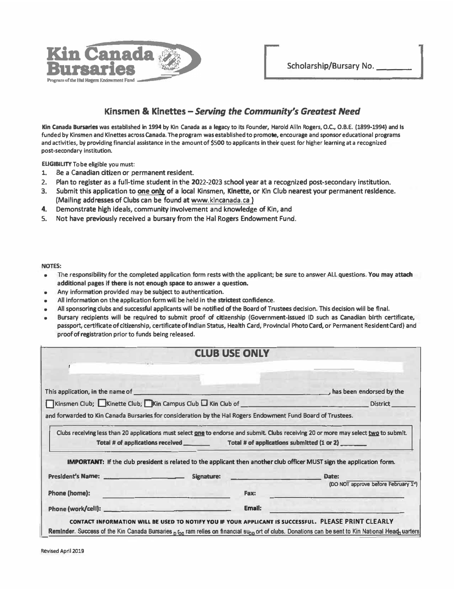

## **Kinsmen** & **Kinettes -***Sen,ing the Community's Greatest Need*

**Kin Canada Bursaries was established in 1994 by Kin Canada as a legacy to its Founder, Harold Allln Rogers, 0.C., 0.B.E. (1899-1994) and Is funded by Kinsmen and Klnettes acrossCanada. The program was established to promote, encourage and sponsoreducational programs and activities, by providing financial assistance in the amount of \$500 to applicants in their quest for higher learning at a recognized**  post-secondary institution.

**ELIGIBILITY Tobe eligible you must:** 

- **1.Be a Canadian citizen or permanent resident.**
- **2. Plan to register as a full-time student in the 2022-2023 school year at a recognized post-secondary institution.**
- **3. Submit this application to one only of a local Kinsmen, Klnette, or Kin Club nearest your permanent residence. (Mailing addresses of Clubs can be found at www.klncanada.ca)**
- **4.Demonstrate high ideals, community involvement and knowledge of Kin, and**
- **5. Not have previously received a bursary from the Hal Rogers Endowment Fund.**

**NOTES:** 

- **• The responsibility for the completed application form rests with the applicant; be sure to answer ALL questions. You may attach additional pages if there is not enough space to answer a question.**
- Any information provided may be subject to authentication.
- **•All information on the application form will be held in the strictest confidence.**
- **•**All sponsoring clubs and successful applicants will be notified of the Board of Trustees decision. This decision will be final.
- **• Bursary recipients will be required to submit proof of citizenship (Government-Issued ID such as Canadian birth certificate, passport, certificate ofcitizenship, certificate of IndIan Status, Health Card, Provlnclal Photo Card, or Permanent Resident Card) and proof of registration prior to funds being released.**

|                                                                                                             | <b>CLUB USE ONLY</b>                                                                                                                                                                                                                 |        |                                                                                                                                                                          |
|-------------------------------------------------------------------------------------------------------------|--------------------------------------------------------------------------------------------------------------------------------------------------------------------------------------------------------------------------------------|--------|--------------------------------------------------------------------------------------------------------------------------------------------------------------------------|
|                                                                                                             |                                                                                                                                                                                                                                      |        |                                                                                                                                                                          |
|                                                                                                             |                                                                                                                                                                                                                                      |        | $\blacksquare$ , has been endorsed by the                                                                                                                                |
| Kinsmen Club; Kinette Club; Kin Campus Club L Kin Club of _______________________                           |                                                                                                                                                                                                                                      |        | <b>District</b>                                                                                                                                                          |
| and forwarded to Kin Canada Bursaries for consideration by the Hal Rogers Endowment Fund Board of Trustees. |                                                                                                                                                                                                                                      |        |                                                                                                                                                                          |
|                                                                                                             |                                                                                                                                                                                                                                      |        | Clubs receiving less than 20 applications must select <b>one</b> to endorse and submit. Clubs receiving 20 or more may select two to submit.                             |
|                                                                                                             |                                                                                                                                                                                                                                      |        | <b>IMPORTANT:</b> If the club president is related to the applicant then another club officer MUST sign the application form.                                            |
|                                                                                                             |                                                                                                                                                                                                                                      |        |                                                                                                                                                                          |
| Phone (home):                                                                                               | <u>Alexander Constantinople of the Second Second Second Second Second Second Second Second Second Second Second Second Second Second Second Second Second Second Second Second Second Second Second Second Second Second Second </u> | Fax:   | (DO NOT approve before February 1st)<br><u> 1989 - Jan Bernard Barbara, manala</u>                                                                                       |
|                                                                                                             |                                                                                                                                                                                                                                      | Email: | <u> Lander Statistics (d. 19</u>                                                                                                                                         |
|                                                                                                             |                                                                                                                                                                                                                                      |        | CONTACT INFORMATION WILL BE USED TO NOTIFY YOU IF YOUR APPLICANT IS SUCCESSFUL. PLEASE PRINT CLEARLY                                                                     |
|                                                                                                             |                                                                                                                                                                                                                                      |        | Reminder. Success of the Kin Canada Bursaries <sub>Diog</sub> ram relies on financial su <sub>pp</sub> ort of clubs. Donations can be sent to Kin National Head-uarters. |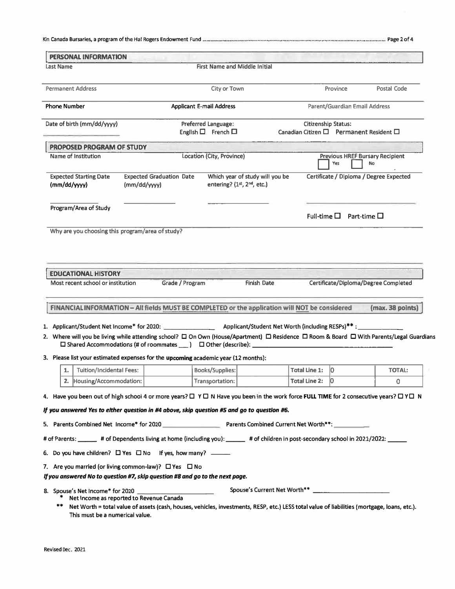|--|--|--|--|--|

| <b>PERSONAL INFORMATION</b><br>Last Name                                                                                                                                                                                                                       |                                                                                                                                                                                          | First Name and Middle Initial   |                                 |                                         |                                         |                                                     |
|----------------------------------------------------------------------------------------------------------------------------------------------------------------------------------------------------------------------------------------------------------------|------------------------------------------------------------------------------------------------------------------------------------------------------------------------------------------|---------------------------------|---------------------------------|-----------------------------------------|-----------------------------------------|-----------------------------------------------------|
|                                                                                                                                                                                                                                                                |                                                                                                                                                                                          |                                 |                                 |                                         |                                         |                                                     |
| <b>Permanent Address</b>                                                                                                                                                                                                                                       |                                                                                                                                                                                          | City or Town                    |                                 |                                         | Province                                | Postal Code                                         |
| <b>Phone Number</b>                                                                                                                                                                                                                                            |                                                                                                                                                                                          | <b>Applicant E-mail Address</b> |                                 |                                         | <b>Parent/Guardian Email Address</b>    |                                                     |
| Date of birth (mm/dd/yyyy)                                                                                                                                                                                                                                     |                                                                                                                                                                                          | Preferred Language:             |                                 |                                         | <b>Citizenship Status:</b>              |                                                     |
|                                                                                                                                                                                                                                                                |                                                                                                                                                                                          | English $\Box$ French $\Box$    |                                 | Canadian Citizen □ Permanent Resident □ |                                         |                                                     |
| PROPOSED PROGRAM OF STUDY                                                                                                                                                                                                                                      |                                                                                                                                                                                          |                                 |                                 |                                         |                                         |                                                     |
| Name of Institution                                                                                                                                                                                                                                            |                                                                                                                                                                                          | Location (City, Province)       |                                 |                                         | Yes                                     | <b>Previous HREF Bursary Recipient</b><br><b>No</b> |
| <b>Expected Starting Date</b><br>$\langle$ mm/dd/yyyy $\rangle$                                                                                                                                                                                                | <b>Expected Graduation Date</b><br>(mm/dd/yyy)                                                                                                                                           | entering? $(1st, 2nd, etc.)$    | Which year of study will you be |                                         |                                         | Certificate / Diploma / Degree Expected             |
| Program/Area of Study                                                                                                                                                                                                                                          |                                                                                                                                                                                          |                                 |                                 |                                         | Full-time $\square$ Part-time $\square$ |                                                     |
| Why are you choosing this program/area of study?                                                                                                                                                                                                               |                                                                                                                                                                                          |                                 |                                 |                                         |                                         |                                                     |
| FINANCIAL INFORMATION - All fields MUST BE COMPLETED or the application will NOT be considered<br>2. Where will you be living while attending school? $\Box$ On Own (House/Apartment) $\Box$ Residence $\Box$ Room & Board $\Box$ With Parents/Legal Guardians |                                                                                                                                                                                          |                                 |                                 |                                         |                                         | (max. 38 points)                                    |
| 3. Please list your estimated expenses for the upcoming academic year (12 months):                                                                                                                                                                             |                                                                                                                                                                                          |                                 |                                 |                                         |                                         |                                                     |
| <b>Tuition/Incidental Fees:</b><br>1.                                                                                                                                                                                                                          |                                                                                                                                                                                          | <b>Books/Supplies:</b>          |                                 | <b>Total Line 1:</b>                    | 10                                      | <b>TOTAL:</b>                                       |
| Housing/Accommodation:<br>2.                                                                                                                                                                                                                                   |                                                                                                                                                                                          | Transportation:                 |                                 | <b>Total Line 2:</b>                    | 10                                      | 0                                                   |
| 4. Have you been out of high school 4 or more years? □ Y □ N Have you been in the work force FULL TIME for 2 consecutive years? □ Y □ N<br>If you answered Yes to either question in #4 above, skip question #5 and go to question #6.                         |                                                                                                                                                                                          |                                 |                                 |                                         |                                         |                                                     |
|                                                                                                                                                                                                                                                                |                                                                                                                                                                                          |                                 |                                 |                                         |                                         |                                                     |
| 5. Parents Combined Net Income* for 2020 Parents Combined Current Net Worth**:                                                                                                                                                                                 |                                                                                                                                                                                          |                                 |                                 |                                         |                                         |                                                     |
| # of Parents: ______ # of Dependents living at home (including you): _____ # of children in post-secondary school in 2021/2022: _____                                                                                                                          |                                                                                                                                                                                          |                                 |                                 |                                         |                                         |                                                     |
| 6. Do you have children? $\Box$ Yes $\Box$ No If yes, how many?                                                                                                                                                                                                |                                                                                                                                                                                          |                                 |                                 |                                         |                                         |                                                     |
| 7. Are you married (or living common-law)? $\Box$ Yes $\Box$ No<br>If you answered No to question #7, skip question #8 and go to the next page.                                                                                                                |                                                                                                                                                                                          |                                 |                                 |                                         |                                         |                                                     |
| 8. Spouse's Net Income* for 2020<br>**<br>This must be a numerical value.                                                                                                                                                                                      | Net Income as reported to Revenue Canada<br>Net Worth = total value of assets (cash, houses, vehicles, investments, RESP, etc.) LESS total value of liabilities (mortgage, loans, etc.). |                                 |                                 |                                         |                                         |                                                     |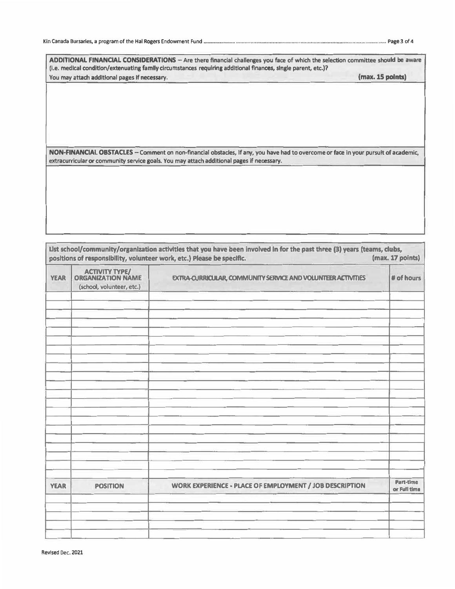**ADDITIONAL FINANCIAL CONSIDERATIONS - Are there financial challenges you face of which the selection committee should be aware (i.e. medical condition/extenuating family circumstances requiring additional finances, single parent, etc.)? You may attach additional pages If necessary. (max. 15 points)** 

**NON-FINANCIAL OBSTACLES - Comment on non-financial obstacles, If any, you have had to overcome or face in your pursuit of academic, extracurricular or community service goals. You may attach additional pages if necessary.** 

| <b>YEAR</b> | <b>ACTIVITY TYPE/</b><br><b>ORGANIZATION NAME</b> | <b>EXTRA-CURRICULAR, COMMUNITY SERVICE AND VOLUNTEER ACTIVITIES</b> | # of hours                |
|-------------|---------------------------------------------------|---------------------------------------------------------------------|---------------------------|
|             | (school, volunteer, etc.)                         |                                                                     |                           |
|             |                                                   |                                                                     |                           |
|             |                                                   |                                                                     |                           |
|             |                                                   |                                                                     |                           |
|             |                                                   |                                                                     |                           |
|             |                                                   |                                                                     |                           |
|             |                                                   |                                                                     |                           |
|             |                                                   |                                                                     |                           |
|             |                                                   |                                                                     |                           |
|             |                                                   |                                                                     |                           |
|             |                                                   |                                                                     |                           |
|             |                                                   |                                                                     |                           |
|             |                                                   |                                                                     |                           |
|             |                                                   |                                                                     |                           |
|             |                                                   |                                                                     |                           |
| <b>YEAR</b> | <b>POSITION</b>                                   | <b>WORK EXPERIENCE - PLACE OF EMPLOYMENT / JOB DESCRIPTION</b>      | Part-time<br>or Full time |
|             |                                                   |                                                                     |                           |
|             |                                                   |                                                                     |                           |
|             |                                                   |                                                                     |                           |